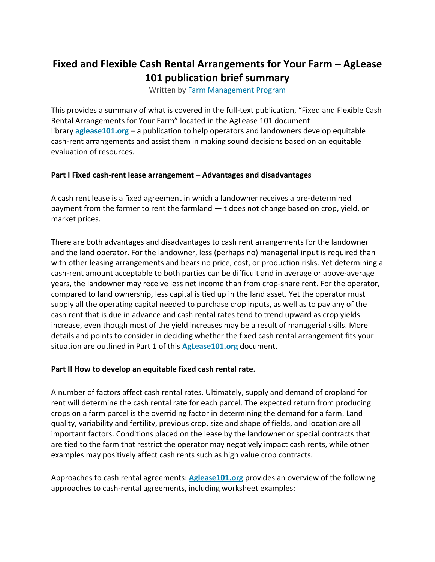# **Fixed and Flexible Cash Rental Arrangements for Your Farm – AgLease 101 publication brief summary**

Written by [Farm Management Program](https://farms.extension.wisc.edu/author/farm-management/)

This provides a summary of what is covered in the full-text publication, "Fixed and Flexible Cash Rental Arrangements for Your Farm" located in the AgLease 101 document library **[aglease101.org](http://aglease101.org/)** – a publication to help operators and landowners develop equitable cash-rent arrangements and assist them in making sound decisions based on an equitable evaluation of resources.

#### **Part I Fixed cash-rent lease arrangement – Advantages and disadvantages**

A cash rent lease is a fixed agreement in which a landowner receives a pre-determined payment from the farmer to rent the farmland —it does not change based on crop, yield, or market prices.

There are both advantages and disadvantages to cash rent arrangements for the landowner and the land operator. For the landowner, less (perhaps no) managerial input is required than with other leasing arrangements and bears no price, cost, or production risks. Yet determining a cash-rent amount acceptable to both parties can be difficult and in average or above-average years, the landowner may receive less net income than from crop-share rent. For the operator, compared to land ownership, less capital is tied up in the land asset. Yet the operator must supply all the operating capital needed to purchase crop inputs, as well as to pay any of the cash rent that is due in advance and cash rental rates tend to trend upward as crop yields increase, even though most of the yield increases may be a result of managerial skills. More details and points to consider in deciding whether the fixed cash rental arrangement fits your situation are outlined in Part 1 of this **[AgLease101.org](http://aglease101.org/)** document.

#### **Part II How to develop an equitable fixed cash rental rate.**

A number of factors affect cash rental rates. Ultimately, supply and demand of cropland for rent will determine the cash rental rate for each parcel. The expected return from producing crops on a farm parcel is the overriding factor in determining the demand for a farm. Land quality, variability and fertility, previous crop, size and shape of fields, and location are all important factors. Conditions placed on the lease by the landowner or special contracts that are tied to the farm that restrict the operator may negatively impact cash rents, while other examples may positively affect cash rents such as high value crop contracts.

Approaches to cash rental agreements: **[Aglease101.org](https://farms.extension.wisc.edu/articles/fixed-and-flexible-cash-rental-arrangements-for-your-farm-aglease-101-publication-brief-summary/blank)** provides an overview of the following approaches to cash-rental agreements, including worksheet examples: